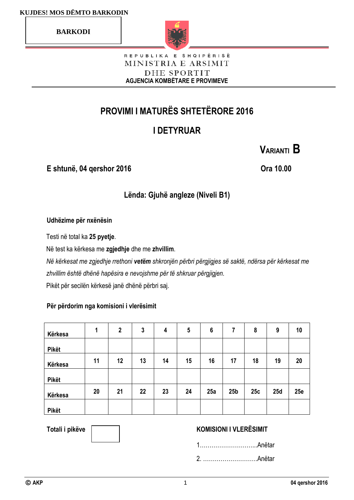**BARKODI**



#### REPUBLIKA E SHQIPËRISË MINISTRIA E ARSIMIT DHE SPORTIT **AGJENCIA KOMBËTARE E PROVIMEVE**

# **PROVIMI I MATURËS SHTETËRORE 2016**

# **I DETYRUAR**

**E shtunë, 04 qershor 2016 Ora 10.00**

**VARIANTI B**

# **Lënda: Gjuhë angleze (Niveli B1)**

### **Udhëzime për nxënësin**

Testi në total ka **25 pyetje**.

Në test ka kërkesa me **zgjedhje** dhe me **zhvillim**.

*Në kërkesat me zgjedhje rrethoni vetëm shkronjën përbri përgjigjes së saktë, ndërsa për kërkesat me zhvillim është dhënë hapësira e nevojshme për të shkruar përgjigjen.* Pikët për secilën kërkesë janë dhënë përbri saj.

### **Për përdorim nga komisioni i vlerësimit**

| Kërkesa      | 1  | $\mathbf{2}$ | 3  | 4  | 5  | $6\phantom{1}6$ | 7               | 8   | 9   | 10  |
|--------------|----|--------------|----|----|----|-----------------|-----------------|-----|-----|-----|
| <b>Pikët</b> |    |              |    |    |    |                 |                 |     |     |     |
| Kërkesa      | 11 | 12           | 13 | 14 | 15 | 16              | 17              | 18  | 19  | 20  |
| <b>Pikët</b> |    |              |    |    |    |                 |                 |     |     |     |
| Kërkesa      | 20 | 21           | 22 | 23 | 24 | 25a             | 25 <sub>b</sub> | 25c | 25d | 25e |
| <b>Pikët</b> |    |              |    |    |    |                 |                 |     |     |     |

### Totali i pikëve **Wissemson, KOMISIONI I VLERËSIMIT**

1………………………...Anëtar

2. ……………………….Anëtar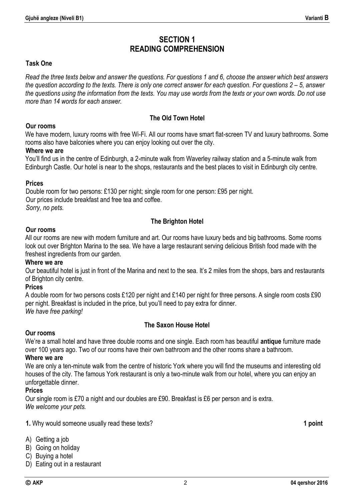# **SECTION 1 READING COMPREHENSION**

#### **Task One**

*Read the three texts below and answer the questions. For questions 1 and 6, choose the answer which best answers the question according to the texts. There is only one correct answer for each question. For questions 2 – 5, answer the questions using the information from the texts. You may use words from the texts or your own words. Do not use more than 14 words for each answer.*

#### **The Old Town Hotel**

#### **Our rooms**

We have modern, luxury rooms with free Wi-Fi. All our rooms have smart flat-screen TV and luxury bathrooms. Some rooms also have balconies where you can enjoy looking out over the city.

#### **Where we are**

You'll find us in the centre of Edinburgh, a 2-minute walk from Waverley railway station and a 5-minute walk from Edinburgh Castle. Our hotel is near to the shops, restaurants and the best places to visit in Edinburgh city centre.

#### **Prices**

Double room for two persons: £130 per night; single room for one person: £95 per night. Our prices include breakfast and free tea and coffee. *Sorry, no pets.*

#### **The Brighton Hotel**

#### **Our rooms**

All our rooms are new with modern furniture and art. Our rooms have luxury beds and big bathrooms. Some rooms look out over Brighton Marina to the sea. We have a large restaurant serving delicious British food made with the freshest ingredients from our garden.

#### **Where we are**

Our beautiful hotel is just in front of the Marina and next to the sea. It's 2 miles from the shops, bars and restaurants of Brighton city centre.

#### **Prices**

A double room for two persons costs £120 per night and £140 per night for three persons. A single room costs £90 per night. Breakfast is included in the price, but you'll need to pay extra for dinner. *We have free parking!*

#### **The Saxon House Hotel**

#### **Our rooms**

We're a small hotel and have three double rooms and one single. Each room has beautiful **antique** furniture made over 100 years ago. Two of our rooms have their own bathroom and the other rooms share a bathroom.

#### **Where we are**

We are only a ten-minute walk from the centre of historic York where you will find the museums and interesting old houses of the city. The famous York restaurant is only a two-minute walk from our hotel, where you can enjoy an unforgettable dinner.

#### **Prices**

Our single room is £70 a night and our doubles are £90. Breakfast is £6 per person and is extra. *We welcome your pets.* 

**1.** Why would someone usually read these texts? **1 point**

- A) Getting a job
- B) Going on holiday
- C) Buying a hotel
- D) Eating out in a restaurant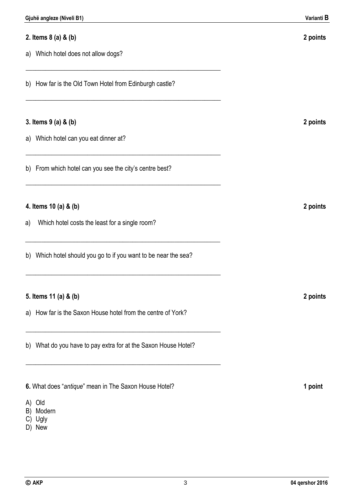- C) Ugly
- D) New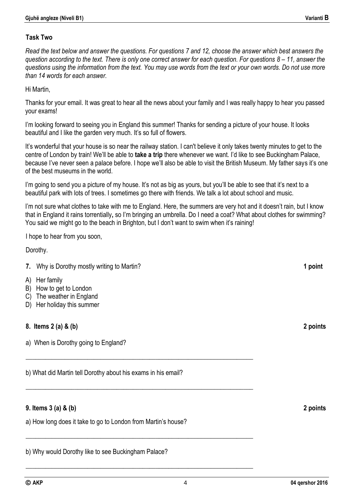#### **Task Two**

*Read the text below and answer the questions. For questions 7 and 12, choose the answer which best answers the question according to the text. There is only one correct answer for each question. For questions 8 – 11, answer the questions using the information from the text. You may use words from the text or your own words. Do not use more than 14 words for each answer.*

Hi Martin,

Thanks for your email. It was great to hear all the news about your family and I was really happy to hear you passed your exams!

I'm looking forward to seeing you in England this summer! Thanks for sending a picture of your house. It looks beautiful and I like the garden very much. It's so full of flowers.

It's wonderful that your house is so near the railway station. I can't believe it only takes twenty minutes to get to the centre of London by train! We'll be able to **take a trip** there whenever we want. I'd like to see Buckingham Palace, because I've never seen a palace before. I hope we'll also be able to visit the British Museum. My father says it's one of the best museums in the world.

I'm going to send you a picture of my house. It's not as big as yours, but you'll be able to see that it's next to a beautiful park with lots of trees. I sometimes go there with friends. We talk a lot about school and music.

I'm not sure what clothes to take with me to England. Here, the summers are very hot and it doesn't rain, but I know that in England it rains torrentially**,** so I'm bringing an umbrella. Do I need a coat? What about clothes for swimming? You said we might go to the beach in Brighton, but I don't want to swim when it's raining!

I hope to hear from you soon,

Dorothy.

#### **7.** Why is Dorothy mostly writing to Martin? **1 1 point**

- A) Her family
- B) How to get to London
- C) The weather in England
- D) Her holiday this summer

### **8. Items 2 (a) & (b) 2 points**

a) When is Dorothy going to England?

b) What did Martin tell Dorothy about his exams in his email?

**\_\_\_\_\_\_\_\_\_\_\_\_\_\_\_\_\_\_\_\_\_\_\_\_\_\_\_\_\_\_\_\_\_\_\_\_\_\_\_\_\_\_\_\_\_\_\_\_\_\_\_\_\_\_\_\_\_\_\_\_\_\_\_\_\_\_\_\_\_\_** 

**\_\_\_\_\_\_\_\_\_\_\_\_\_\_\_\_\_\_\_\_\_\_\_\_\_\_\_\_\_\_\_\_\_\_\_\_\_\_\_\_\_\_\_\_\_\_\_\_\_\_\_\_\_\_\_\_\_\_\_\_\_\_\_\_\_\_\_\_\_\_** 

**\_\_\_\_\_\_\_\_\_\_\_\_\_\_\_\_\_\_\_\_\_\_\_\_\_\_\_\_\_\_\_\_\_\_\_\_\_\_\_\_\_\_\_\_\_\_\_\_\_\_\_\_\_\_\_\_\_\_\_\_\_\_\_\_\_\_\_\_\_\_**

**\_\_\_\_\_\_\_\_\_\_\_\_\_\_\_\_\_\_\_\_\_\_\_\_\_\_\_\_\_\_\_\_\_\_\_\_\_\_\_\_\_\_\_\_\_\_\_\_\_\_\_\_\_\_\_\_\_\_\_\_\_\_\_\_\_\_\_\_\_\_** 

### **9. Items 3 (a) & (b) 2 points**

a) How long does it take to go to London from Martin's house?

b) Why would Dorothy like to see Buckingham Palace?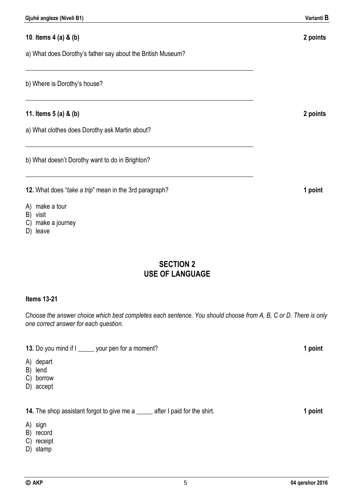# **10**. **Items 4 (a) & (b) 2 points** a) What does Dorothy's father say about the British Museum? **\_\_\_\_\_\_\_\_\_\_\_\_\_\_\_\_\_\_\_\_\_\_\_\_\_\_\_\_\_\_\_\_\_\_\_\_\_\_\_\_\_\_\_\_\_\_\_\_\_\_\_\_\_\_\_\_\_\_\_\_\_\_\_\_\_\_\_\_\_\_** b) Where is Dorothy's house? **\_\_\_\_\_\_\_\_\_\_\_\_\_\_\_\_\_\_\_\_\_\_\_\_\_\_\_\_\_\_\_\_\_\_\_\_\_\_\_\_\_\_\_\_\_\_\_\_\_\_\_\_\_\_\_\_\_\_\_\_\_\_\_\_\_\_\_\_\_\_ 11. Items 5 (a) & (b) 2 points** a) What clothes does Dorothy ask Martin about? **\_\_\_\_\_\_\_\_\_\_\_\_\_\_\_\_\_\_\_\_\_\_\_\_\_\_\_\_\_\_\_\_\_\_\_\_\_\_\_\_\_\_\_\_\_\_\_\_\_\_\_\_\_\_\_\_\_\_\_\_\_\_\_\_\_\_\_\_\_\_** b) What doesn't Dorothy want to do in Brighton? **\_\_\_\_\_\_\_\_\_\_\_\_\_\_\_\_\_\_\_\_\_\_\_\_\_\_\_\_\_\_\_\_\_\_\_\_\_\_\_\_\_\_\_\_\_\_\_\_\_\_\_\_\_\_\_\_\_\_\_\_\_\_\_\_\_\_\_\_\_\_ 12.** What does "*take a trip*" mean in the 3rd paragraph? **1 point** A) make a tour

- B) visit
- C) make a journey
- D) leave

# **SECTION 2 USE OF LANGUAGE**

#### **Items 13-21**

*Choose the answer choice which best completes each sentence. You should choose from A, B, C or D. There is only one correct answer for each question.*

**13.** Do you mind if I \_\_\_\_\_ your pen for a moment? **1 point**

- A) depart
- B) lend
- C) borrow
- D) accept

**14.** The shop assistant forgot to give me a \_\_\_\_\_ after I paid for the shirt. **1 point** 

- A) sign
- B) record
- C) receipt
- D) stamp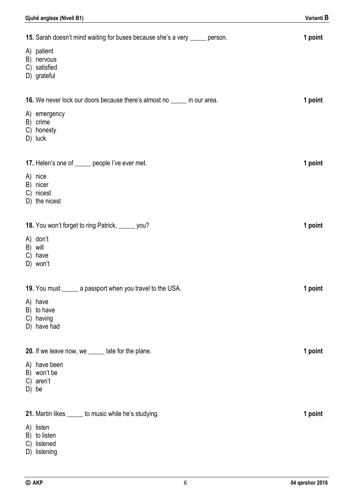| Gjuhë angleze (Niveli B1)                                                                                                              | Varianti B |
|----------------------------------------------------------------------------------------------------------------------------------------|------------|
| 15. Sarah doesn't mind waiting for buses because she's a very _____ person.<br>A) patient<br>B) nervous<br>C) satisfied<br>D) grateful | 1 point    |
| 16. We never lock our doors because there's almost no ______ in our area.<br>A) emergency<br>B) crime<br>C) honesty<br>D) luck         | 1 point    |
| 17. Helen's one of _____ people I've ever met.<br>A) nice<br>B) nicer<br>C) nicest<br>D) the nicest                                    | 1 point    |
| 18. You won't forget to ring Patrick, _____ you?<br>A) don't<br>B) will<br>C) have<br>D) won't                                         | 1 point    |
| 19. You must ______ a passport when you travel to the USA.<br>A) have<br>B) to have<br>C) having<br>D) have had                        | 1 point    |
| 20. If we leave now, we ______ late for the plane.<br>A) have been<br>B) won't be<br>C) aren't<br>D) be                                | 1 point    |
| 21. Martin likes ______ to music while he's studying.<br>A) listen<br>B) to listen<br>C) listened<br>D) listening                      | 1 point    |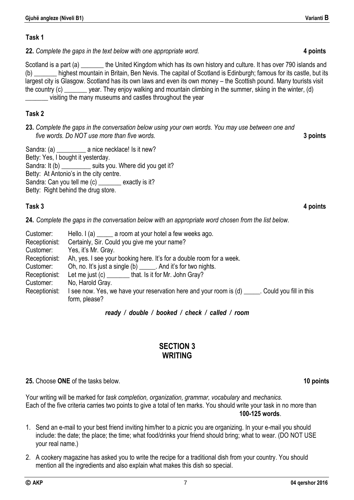#### **Task 1**

**22.** *Complete the gaps in the text below with one appropriate word.* **4 points**

Scotland is a part (a) **the United Kingdom which has its own history and culture.** It has over 790 islands and (b) \_\_\_\_\_\_\_ highest mountain in Britain, Ben Nevis. The capital of Scotland is Edinburgh; famous for its castle, but its largest city is Glasgow. Scotland has its own laws and even its own money – the Scottish pound. Many tourists visit the country (c) vear. They enjoy walking and mountain climbing in the summer, skiing in the winter, (d) \_\_\_\_\_\_\_ visiting the many museums and castles throughout the year

### **Task 2**

**23.** *Complete the gaps in the conversation below using your own words. You may use between one and five words. Do NOT use more than five words.* **3 points**

Sandra: (a) **a** nice necklace! Is it new? Betty: Yes, I bought it yesterday. Sandra: It (b) \_\_\_\_\_\_\_\_\_\_ suits you. Where did you get it? Betty: At Antonio's in the city centre. Sandra: Can you tell me (c) \_\_\_\_\_\_\_ exactly is it? Betty: Right behind the drug store.

#### **Task 3 4 points**

**24.** *Complete the gaps in the conversation below with an appropriate word chosen from the list below.*

| Customer:     | Hello. $I(a)$ ______ a room at your hotel a few weeks ago.                                       |
|---------------|--------------------------------------------------------------------------------------------------|
| Receptionist: | Certainly, Sir. Could you give me your name?                                                     |
| Customer:     | Yes, it's Mr. Gray.                                                                              |
| Receptionist: | Ah, yes. I see your booking here. It's for a double room for a week.                             |
| Customer:     | Oh, no. It's just a single (b) ______. And it's for two nights.                                  |
| Receptionist: | Let me just (c) ________that. Is it for Mr. John Gray?                                           |
| Customer:     | No, Harold Gray.                                                                                 |
| Receptionist: | I see now. Yes, we have your reservation here and your room is (d) _____. Could you fill in this |
|               | form, please?                                                                                    |

### *ready / double / booked / check / called / room*

## **SECTION 3 WRITING**

### **25.** Choose **ONE** of the tasks below. **10 points**

Your writing will be marked for *task completion, organization, grammar, vocabulary* and *mechanics.*  Each of the five criteria carries two points to give a total of ten marks. You should write your task in no more than **100-125 words**.

- 1. Send an e-mail to your best friend inviting him/her to a picnic you are organizing. In your e-mail you should include: the date; the place; the time; what food/drinks your friend should bring; what to wear. (DO NOT USE your real name.)
- 2. A cookery magazine has asked you to write the recipe for a traditional dish from your country. You should mention all the ingredients and also explain what makes this dish so special.